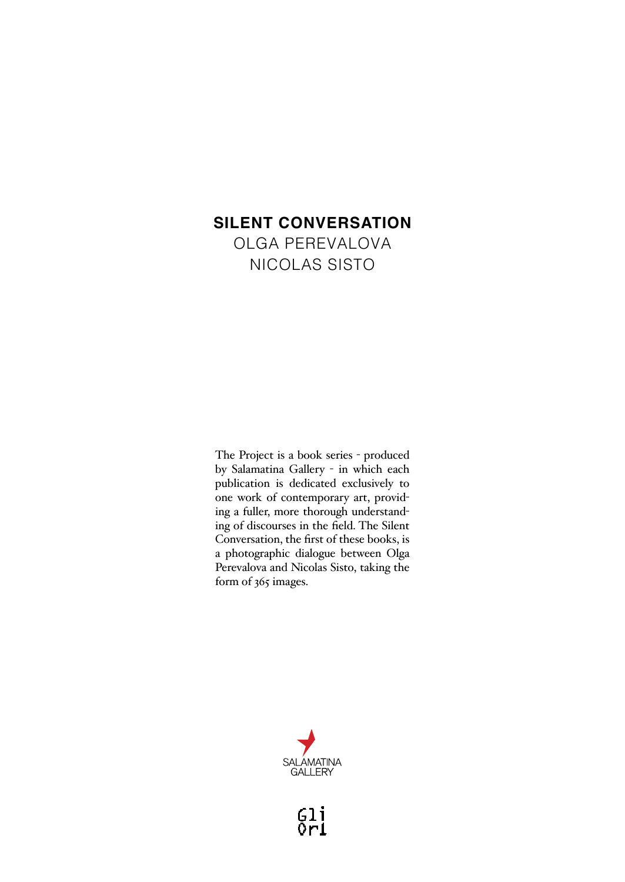# **SILENT CONVERSATION**

OLGA PEREVALOVA NICOLAS SISTO

The Project is a book series - produced by Salamatina Gallery - in which each publication is dedicated exclusively to one work of contemporary art, providing a fuller, more thorough understanding of discourses in the field. The Silent Conversation, the first of these books, is a photographic dialogue between Olga Perevalova and Nicolas Sisto, taking the form of 365 images.



 $\begin{smallmatrix} 6 & 1 & 1 \\ 0 & 1 & 1 \end{smallmatrix}$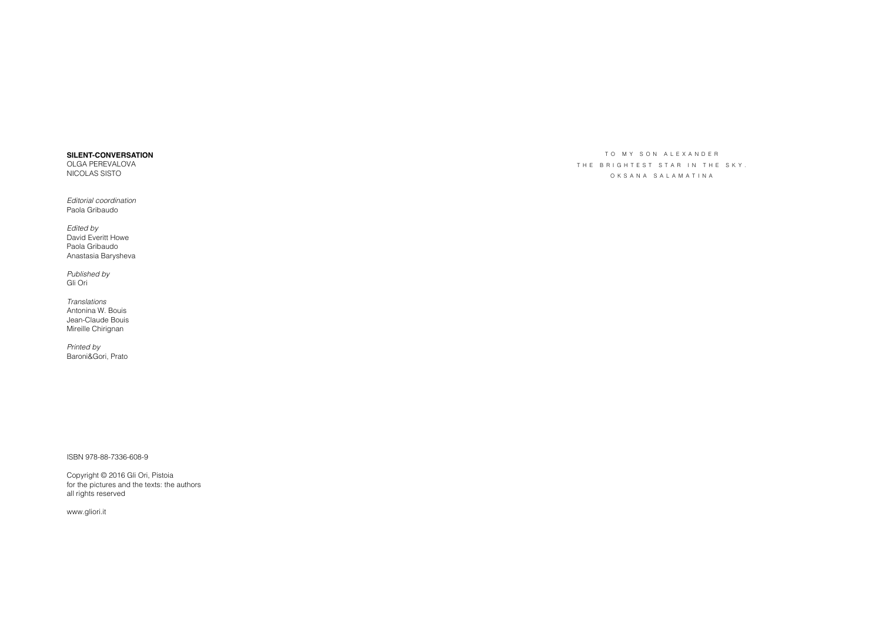## **SILENT-CONVERSATION**

OLGA PEREVALOVA NICOLAS SISTO

*Editorial coordination* Paola Gribaudo

*Edited by* David Everitt Howe Paola Gribaudo Anastasia Barysheva

*Published by* Gli Ori

*Translations* Antonina W. Bouis Jean-Claude Bouis Mireille Chirignan

*Printed by* Baroni&Gori, Prato

ISBN 978-88-7336-608-9

Copyright © 2016 Gli Ori, Pistoia for the pictures and the texts: the authors all rights reserved

www.gliori.it

TO MY SON ALEXANDER THE BRIGHTEST STAR IN THE SKY. OKSANA SALAMATINA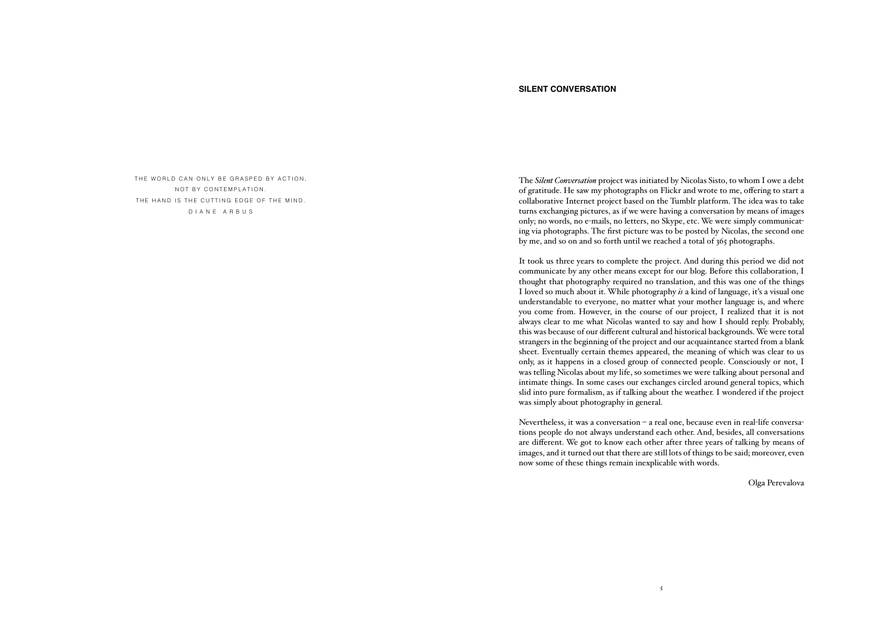# THE WORLD CAN ONLY BE GRASPED BY ACTION, NOT BY CONTEMPLATION THE HAND IS THE CUTTING EDGE OF THE MIND. DIANE ARBUS

### **SILENT CONVERSATION**

The *Silent Conversation* project was initiated by Nicolas Sisto, to whom I owe a debt of gratitude. He saw my photographs on Flickr and wrote to me, offering to start a collaborative Internet project based on the Tumblr platform. The idea was to take turns exchanging pictures, as if we were having a conversation by means of images only; no words, no e-mails, no letters, no Skype, etc. We were simply communicating via photographs. The first picture was to be posted by Nicolas, the second one by me, and so on and so forth until we reached a total of 365 photographs.

It took us three years to complete the project. And during this period we did not communicate by any other means except for our blog. Before this collaboration, I thought that photography required no translation, and this was one of the things I loved so much about it. While photography *is* a kind of language, it's a visual one understandable to everyone, no matter what your mother language is, and where you come from. However, in the course of our project, I realized that it is not always clear to me what Nicolas wanted to say and how I should reply. Probably, this was because of our different cultural and historical backgrounds. We were total strangers in the beginning of the project and our acquaintance started from a blank sheet. Eventually certain themes appeared, the meaning of which was clear to us only, as it happens in a closed group of connected people. Consciously or not, I was telling Nicolas about my life, so sometimes we were talking about personal and intimate things. In some cases our exchanges circled around general topics, which slid into pure formalism, as if talking about the weather. I wondered if the project was simply about photography in general.

Nevertheless, it was a conversation – a real one, because even in real-life conversations people do not always understand each other. And, besides, all conversations are different. We got to know each other after three years of talking by means of images, and it turned out that there are still lots of things to be said; moreover, even now some of these things remain inexplicable with words.

Olga Perevalova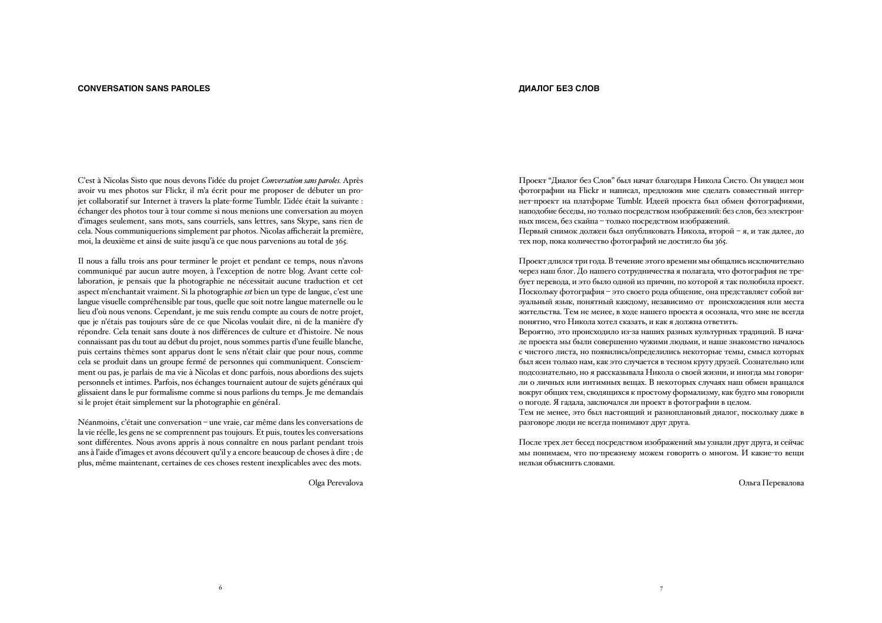#### **CONVERSATION SANS PAROLES ДИАЛОГ БЕЗ СЛОВ**

C'est à Nicolas Sisto que nous devons l'idée du projet *Conversation sans paroles.* Après avoir vu mes photos sur Flickr, il m'a écrit pour me proposer de débuter un projet collaboratif sur Internet à travers la plate-forme Tumblr. L'idée était la suivante : échanger des photos tour à tour comme si nous menions une conversation au moyen d'images seulement, sans mots, sans courriels, sans lettres, sans Skype, sans rien de cela. Nous communiquerions simplement par photos. Nicolas afficherait la première, moi, la deuxième et ainsi de suite jusqu'à ce que nous parvenions au total de 365.

Il nous a fallu trois ans pour terminer le projet et pendant ce temps, nous n'avons communiqué par aucun autre moyen, à l'exception de notre blog. Avant cette collaboration, je pensais que la photographie ne nécessitait aucune traduction et cet aspect m'enchantait vraiment. Si la photographie *est* bien un type de langue, c'est une langue visuelle compréhensible par tous, quelle que soit notre langue maternelle ou le lieu d'où nous venons. Cependant, je me suis rendu compte au cours de notre projet, que je n'étais pas toujours sûre de ce que Nicolas voulait dire, ni de la manière d'y répondre. Cela tenait sans doute à nos différences de culture et d'histoire. Ne nous connaissant pas du tout au début du projet, nous sommes partis d'une feuille blanche, puis certains thèmes sont apparus dont le sens n'était clair que pour nous, comme cela se produit dans un groupe fermé de personnes qui communiquent. Consciemment ou pas, je parlais de ma vie à Nicolas et donc parfois, nous abordions des sujets personnels et intimes. Parfois, nos échanges tournaient autour de sujets généraux qui glissaient dans le pur formalisme comme si nous parlions du temps. Je me demandais si le projet était simplement sur la photographie en généraI.

Néanmoins, c'était une conversation – une vraie, car même dans les conversations de la vie réelle, les gens ne se comprennent pas toujours. Et puis, toutes les conversations sont différentes. Nous avons appris à nous connaître en nous parlant pendant trois ans à l'aide d'images et avons découvert qu'il y a encore beaucoup de choses à dire ; de plus, même maintenant, certaines de ces choses restent inexplicables avec des mots.

Olga Perevalova

6  $\overline{\phantom{a}}$  7

Проект "Диалог без Cлов" был начат благодаря Никола Систо. Он увидел мои фотографии на Flickr и написал, предложив мне сделать совместный интернет-проект на платформе Tumblr. Идеей проекта был обмен фотографиями, наподобие беседы, но только посредством изображений: без слов, без электронных писем, без скайпа – только посредством изображений.

Первый снимок должен был опубликовать Никола, второй – я, и так далее, до тех пор, пока количество фотографий не достигло бы 365.

Проект длился три года. В течение этого времени мы общались исключительно через наш блог. До нашего сотрудничества я полагала, что фотография не требует перевода, и это было одной из причин, по которой я так полюбила проект. Поскольку фотография – это своего рода общение, она представляет собой визуальный язык, понятный каждому, независимо от происхождения или места жительства. Тем не менее, в ходе нашего проекта я осознала, что мне не всегда понятно, что Никола хотел сказать, и как я должна ответить.

Вероятно, это происходило из-за наших разных культурных традиций. В начале проекта мы были совершенно чужими людьми, и наше знакомство началось с чистого листа, но появились/определились некоторые темы, смысл которых был ясен только нам, как это случается в тесном кругу друзей. Сознательно или подсознательно, но я рассказывала Никола о своей жизни, и иногда мы говорили о личных или интимных вещах. В некоторых случаях наш обмен вращался вокруг общих тем, сводящихся к простому формализму, как будто мы говорили о погоде. Я гадала, заключался ли проект в фотографии в целом.

Тем не менее, это был настоящий и разноплановый диалог, поскольку даже в разговоре люди не всегда понимают друг друга.

После трех лет бесед посредством изображений мы узнали друг друга, и сейчас мы понимаем, что по-прежнему можем говорить о многом. И какие-то вещи нельзя объяснить словами.

Ольга Перевалова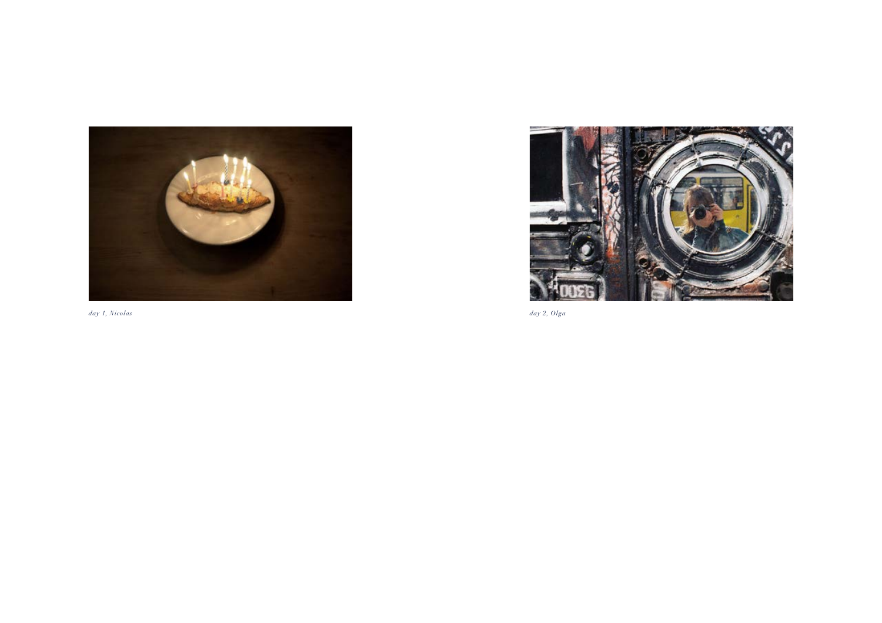



*day 1, Nicolas day 2, Olga*